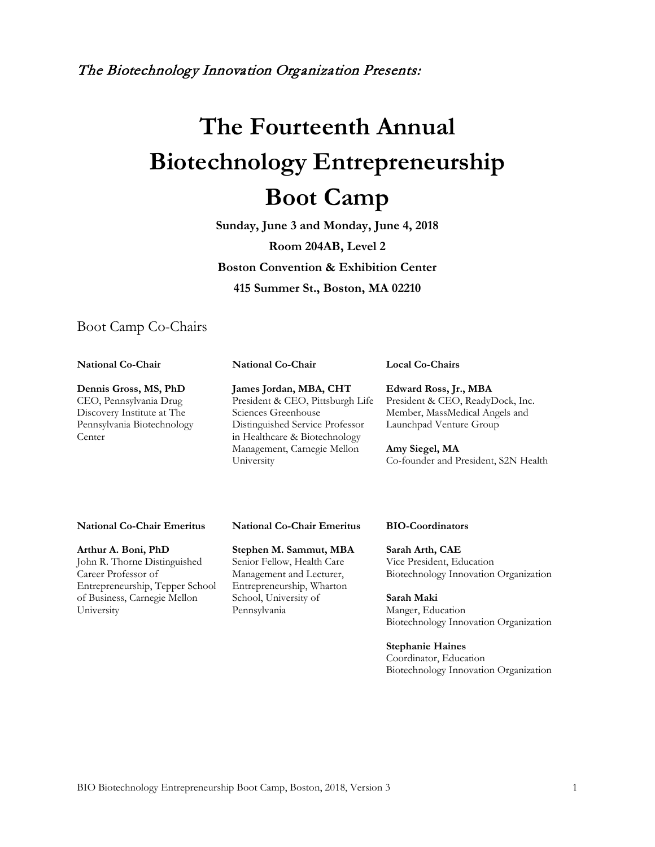The Biotechnology Innovation Organization Presents:

# **The Fourteenth Annual Biotechnology Entrepreneurship Boot Camp**

**Sunday, June 3 and Monday, June 4, 2018 Room 204AB, Level 2 Boston Convention & Exhibition Center 415 Summer St., Boston, MA 02210**

### Boot Camp Co-Chairs

**National Co-Chair**

Center

**Dennis Gross, MS, PhD** CEO, Pennsylvania Drug Discovery Institute at The Pennsylvania Biotechnology **James Jordan, MBA, CHT** President & CEO, Pittsburgh Life Sciences Greenhouse Distinguished Service Professor in Healthcare & Biotechnology Management, Carnegie Mellon University

**National Co-Chair**

**Local Co-Chairs**

**Edward Ross, Jr., MBA** President & CEO, ReadyDock, Inc. Member, MassMedical Angels and Launchpad Venture Group

**Amy Siegel, MA** Co-founder and President, S2N Health

#### **National Co-Chair Emeritus**

**Arthur A. Boni, PhD** John R. Thorne Distinguished Career Professor of Entrepreneurship, Tepper School of Business, Carnegie Mellon University

**National Co-Chair Emeritus**

**Stephen M. Sammut, MBA** Senior Fellow, Health Care Management and Lecturer, Entrepreneurship, Wharton School, University of Pennsylvania

#### **BIO-Coordinators**

**Sarah Arth, CAE** Vice President, Education Biotechnology Innovation Organization

**Sarah Maki** Manger, Education Biotechnology Innovation Organization

**Stephanie Haines** Coordinator, Education Biotechnology Innovation Organization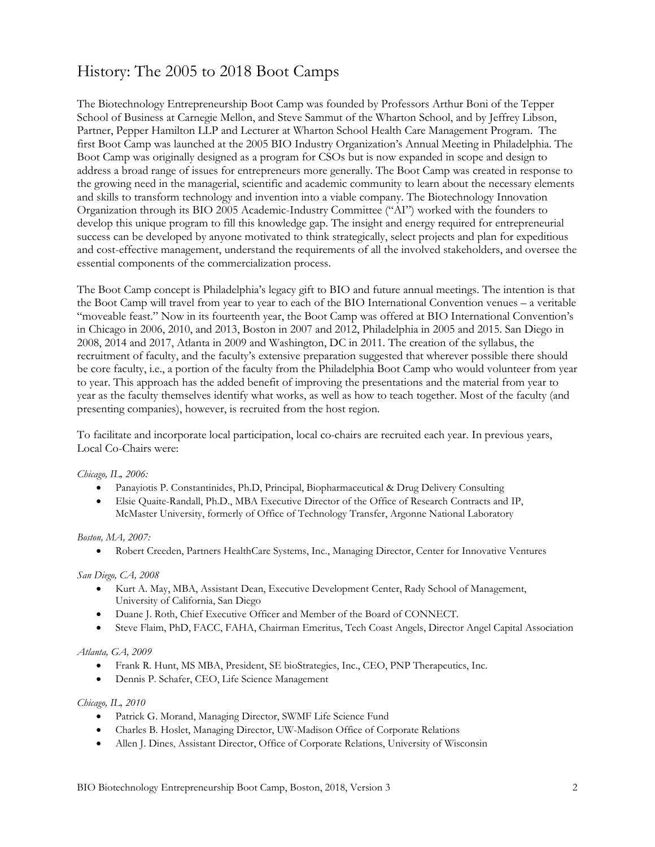## History: The 2005 to 2018 Boot Camps

The Biotechnology Entrepreneurship Boot Camp was founded by Professors Arthur Boni of the Tepper School of Business at Carnegie Mellon, and Steve Sammut of the Wharton School, and by Jeffrey Libson, Partner, Pepper Hamilton LLP and Lecturer at Wharton School Health Care Management Program. The first Boot Camp was launched at the 2005 BIO Industry Organization's Annual Meeting in Philadelphia. The Boot Camp was originally designed as a program for CSOs but is now expanded in scope and design to address a broad range of issues for entrepreneurs more generally. The Boot Camp was created in response to the growing need in the managerial, scientific and academic community to learn about the necessary elements and skills to transform technology and invention into a viable company. The Biotechnology Innovation Organization through its BIO 2005 Academic-Industry Committee ("AI") worked with the founders to develop this unique program to fill this knowledge gap. The insight and energy required for entrepreneurial success can be developed by anyone motivated to think strategically, select projects and plan for expeditious and cost-effective management, understand the requirements of all the involved stakeholders, and oversee the essential components of the commercialization process.

The Boot Camp concept is Philadelphia's legacy gift to BIO and future annual meetings. The intention is that the Boot Camp will travel from year to year to each of the BIO International Convention venues – a veritable "moveable feast." Now in its fourteenth year, the Boot Camp was offered at BIO International Convention's in Chicago in 2006, 2010, and 2013, Boston in 2007 and 2012, Philadelphia in 2005 and 2015. San Diego in 2008, 2014 and 2017, Atlanta in 2009 and Washington, DC in 2011. The creation of the syllabus, the recruitment of faculty, and the faculty's extensive preparation suggested that wherever possible there should be core faculty, i.e., a portion of the faculty from the Philadelphia Boot Camp who would volunteer from year to year. This approach has the added benefit of improving the presentations and the material from year to year as the faculty themselves identify what works, as well as how to teach together. Most of the faculty (and presenting companies), however, is recruited from the host region.

To facilitate and incorporate local participation, local co-chairs are recruited each year. In previous years, Local Co-Chairs were:

#### *Chicago, IL, 2006:*

- Panayiotis P. Constantinides, Ph.D, Principal, Biopharmaceutical & Drug Delivery Consulting
- Elsie Quaite-Randall, Ph.D., MBA Executive Director of the Office of Research Contracts and IP, McMaster University, formerly of Office of Technology Transfer, Argonne National Laboratory

#### *Boston, MA, 2007:*

• Robert Creeden, Partners HealthCare Systems, Inc., Managing Director, Center for Innovative Ventures

#### *San Diego, CA, 2008*

- Kurt A. May, MBA, Assistant Dean, Executive Development Center, Rady School of Management, University of California, San Diego
- Duane J. Roth, Chief Executive Officer and Member of the Board of CONNECT*.*
- Steve Flaim, PhD, FACC, FAHA, Chairman Emeritus, Tech Coast Angels, Director Angel Capital Association

#### *Atlanta, GA, 2009*

- Frank R. Hunt, MS MBA, President, SE bioStrategies, Inc., CEO, PNP Therapeutics, Inc.
- Dennis P. Schafer, CEO, Life Science Management

#### *Chicago, IL, 2010*

- Patrick G. Morand, Managing Director, SWMF Life Science Fund
- Charles B. Hoslet, Managing Director, UW-Madison Office of Corporate Relations
- Allen J. Dines, Assistant Director, Office of Corporate Relations, University of Wisconsin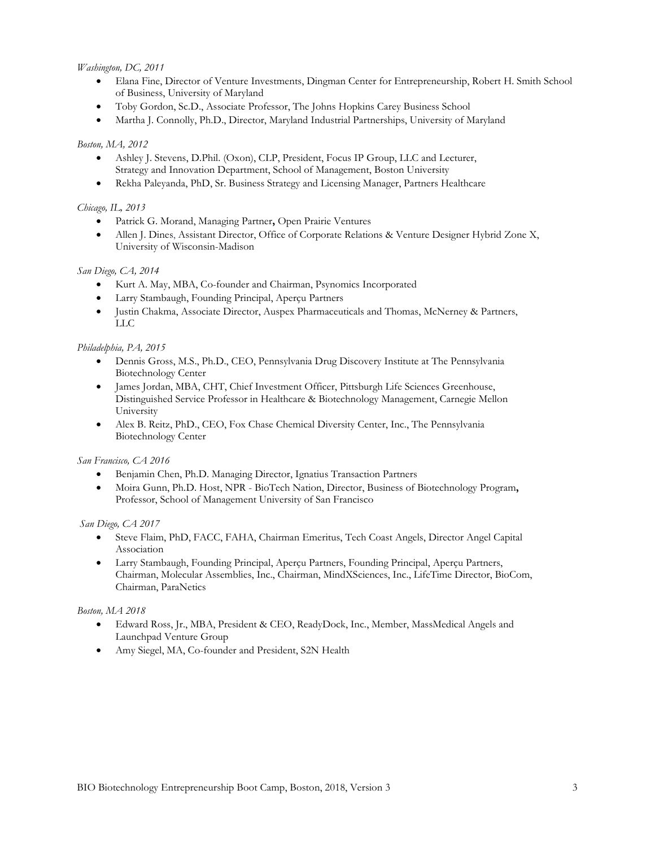#### *Washington, DC, 2011*

- Elana Fine, Director of Venture Investments, Dingman Center for Entrepreneurship, Robert H. Smith School of Business, University of Maryland
- Toby Gordon, Sc.D., Associate Professor, The Johns Hopkins Carey Business School
- Martha J. Connolly, Ph.D., Director, Maryland Industrial Partnerships, University of Maryland

#### *Boston, MA, 2012*

- Ashley J. Stevens, D.Phil. (Oxon), CLP, President, Focus IP Group, LLC and Lecturer, Strategy and Innovation Department, School of Management, Boston University
- Rekha Paleyanda, PhD, Sr. Business Strategy and Licensing Manager, Partners Healthcare

#### *Chicago, IL, 2013*

- Patrick G. Morand, Managing Partner**,** Open Prairie Ventures
- Allen J. Dines, Assistant Director, Office of Corporate Relations & Venture Designer Hybrid Zone X, University of Wisconsin-Madison

#### *San Diego, CA, 2014*

- Kurt A. May, MBA, Co-founder and Chairman, Psynomics Incorporated
- Larry Stambaugh, Founding Principal, Aperçu Partners
- Justin Chakma, Associate Director, Auspex Pharmaceuticals and Thomas, McNerney & Partners, LLC

#### *Philadelphia, PA, 2015*

- Dennis Gross, M.S., Ph.D., CEO, Pennsylvania Drug Discovery Institute at The Pennsylvania Biotechnology Center
- James Jordan, MBA, CHT, Chief Investment Officer, Pittsburgh Life Sciences Greenhouse, Distinguished Service Professor in Healthcare & Biotechnology Management, Carnegie Mellon University
- Alex B. Reitz, PhD., CEO, Fox Chase Chemical Diversity Center, Inc., The Pennsylvania Biotechnology Center

#### *San Francisco, CA 2016*

- Benjamin Chen, Ph.D. Managing Director, Ignatius Transaction Partners
- Moira Gunn, Ph.D. Host, NPR BioTech Nation, Director, Business of Biotechnology Program**,**  Professor, School of Management University of San Francisco

#### *San Diego, CA 2017*

- Steve Flaim, PhD, FACC, FAHA, Chairman Emeritus, Tech Coast Angels, Director Angel Capital Association
- Larry Stambaugh, Founding Principal, Aperçu Partners, Founding Principal, Aperçu Partners, Chairman, Molecular Assemblies, Inc., Chairman, MindXSciences, Inc., LifeTime Director, BioCom, Chairman, ParaNetics

#### *Boston, MA 2018*

- Edward Ross, Jr., MBA, President & CEO, ReadyDock, Inc., Member, MassMedical Angels and Launchpad Venture Group
- Amy Siegel, MA, Co-founder and President, S2N Health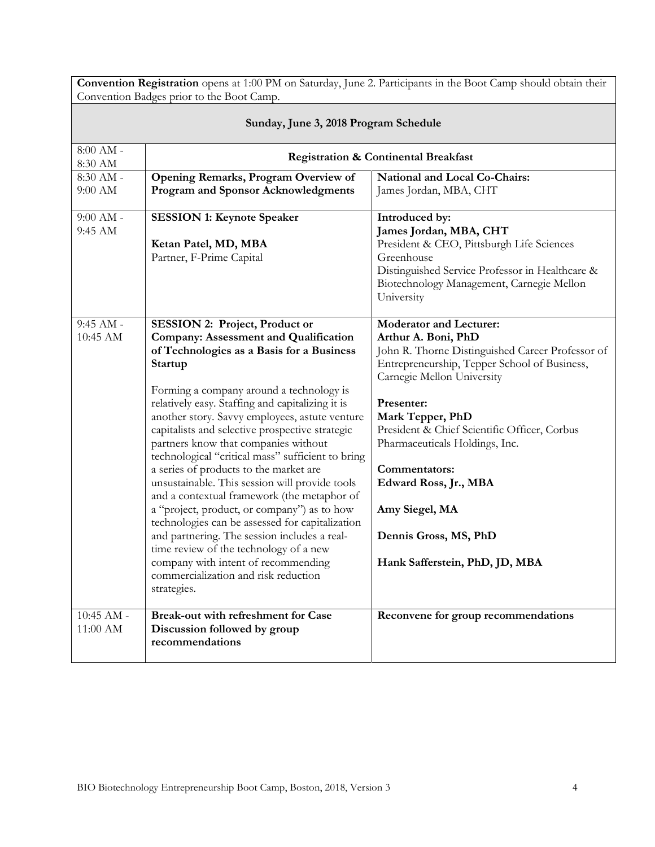| Convention Registration opens at 1:00 PM on Saturday, June 2. Participants in the Boot Camp should obtain their<br>Convention Badges prior to the Boot Camp. |                                                                                                                                                                                                                                                                                                                                                                                                                                                                                                                                                                                                                                                                                                                                                                                                                                                                                      |                                                                                                                                                                                                                                                                                                                                                                                                                                    |
|--------------------------------------------------------------------------------------------------------------------------------------------------------------|--------------------------------------------------------------------------------------------------------------------------------------------------------------------------------------------------------------------------------------------------------------------------------------------------------------------------------------------------------------------------------------------------------------------------------------------------------------------------------------------------------------------------------------------------------------------------------------------------------------------------------------------------------------------------------------------------------------------------------------------------------------------------------------------------------------------------------------------------------------------------------------|------------------------------------------------------------------------------------------------------------------------------------------------------------------------------------------------------------------------------------------------------------------------------------------------------------------------------------------------------------------------------------------------------------------------------------|
| Sunday, June 3, 2018 Program Schedule                                                                                                                        |                                                                                                                                                                                                                                                                                                                                                                                                                                                                                                                                                                                                                                                                                                                                                                                                                                                                                      |                                                                                                                                                                                                                                                                                                                                                                                                                                    |
| $8:00$ AM $\text{-}$<br>8:30 AM                                                                                                                              | <b>Registration &amp; Continental Breakfast</b>                                                                                                                                                                                                                                                                                                                                                                                                                                                                                                                                                                                                                                                                                                                                                                                                                                      |                                                                                                                                                                                                                                                                                                                                                                                                                                    |
| $8:30$ AM -<br>9:00 AM                                                                                                                                       | Opening Remarks, Program Overview of<br>Program and Sponsor Acknowledgments                                                                                                                                                                                                                                                                                                                                                                                                                                                                                                                                                                                                                                                                                                                                                                                                          | National and Local Co-Chairs:<br>James Jordan, MBA, CHT                                                                                                                                                                                                                                                                                                                                                                            |
| $9:00$ AM -<br>9:45 AM                                                                                                                                       | <b>SESSION 1: Keynote Speaker</b><br>Ketan Patel, MD, MBA<br>Partner, F-Prime Capital                                                                                                                                                                                                                                                                                                                                                                                                                                                                                                                                                                                                                                                                                                                                                                                                | Introduced by:<br>James Jordan, MBA, CHT<br>President & CEO, Pittsburgh Life Sciences<br>Greenhouse<br>Distinguished Service Professor in Healthcare &<br>Biotechnology Management, Carnegie Mellon<br>University                                                                                                                                                                                                                  |
| $9:45$ AM -<br>10:45 AM                                                                                                                                      | <b>SESSION 2: Project, Product or</b><br><b>Company: Assessment and Qualification</b><br>of Technologies as a Basis for a Business<br>Startup<br>Forming a company around a technology is<br>relatively easy. Staffing and capitalizing it is<br>another story. Savvy employees, astute venture<br>capitalists and selective prospective strategic<br>partners know that companies without<br>technological "critical mass" sufficient to bring<br>a series of products to the market are<br>unsustainable. This session will provide tools<br>and a contextual framework (the metaphor of<br>a "project, product, or company") as to how<br>technologies can be assessed for capitalization<br>and partnering. The session includes a real-<br>time review of the technology of a new<br>company with intent of recommending<br>commercialization and risk reduction<br>strategies. | <b>Moderator and Lecturer:</b><br>Arthur A. Boni, PhD<br>John R. Thorne Distinguished Career Professor of<br>Entrepreneurship, Tepper School of Business,<br>Carnegie Mellon University<br>Presenter:<br>Mark Tepper, PhD<br>President & Chief Scientific Officer, Corbus<br>Pharmaceuticals Holdings, Inc.<br>Commentators:<br>Edward Ross, Jr., MBA<br>Amy Siegel, MA<br>Dennis Gross, MS, PhD<br>Hank Safferstein, PhD, JD, MBA |
| $10:45$ AM -<br>11:00 AM                                                                                                                                     | <b>Break-out with refreshment for Case</b><br>Discussion followed by group<br>recommendations                                                                                                                                                                                                                                                                                                                                                                                                                                                                                                                                                                                                                                                                                                                                                                                        | Reconvene for group recommendations                                                                                                                                                                                                                                                                                                                                                                                                |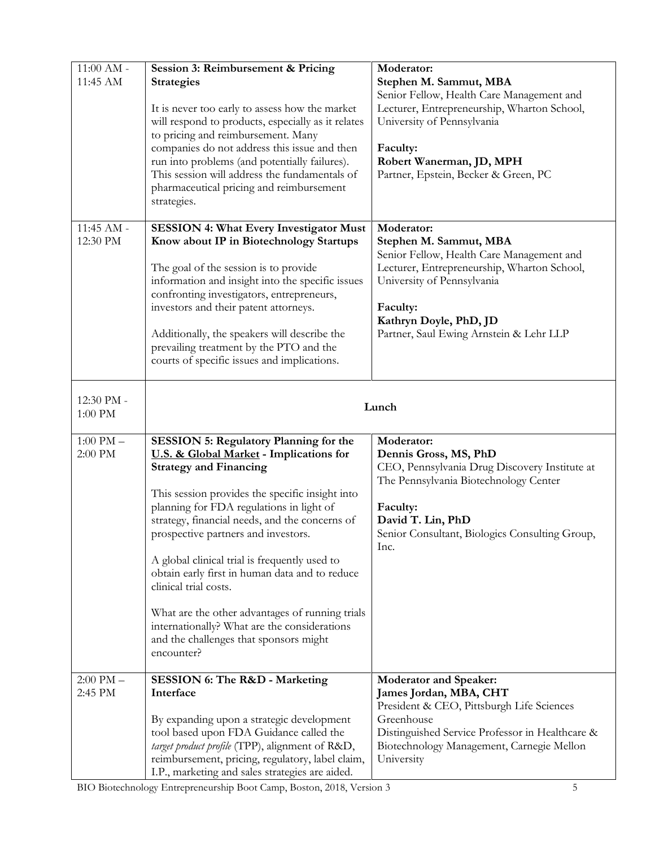| $11:00$ AM -<br>11:45 AM | Session 3: Reimbursement & Pricing<br><b>Strategies</b><br>It is never too early to assess how the market<br>will respond to products, especially as it relates<br>to pricing and reimbursement. Many<br>companies do not address this issue and then<br>run into problems (and potentially failures).<br>This session will address the fundamentals of<br>pharmaceutical pricing and reimbursement<br>strategies.                                                                                                                                                                                       | Moderator:<br>Stephen M. Sammut, MBA<br>Senior Fellow, Health Care Management and<br>Lecturer, Entrepreneurship, Wharton School,<br>University of Pennsylvania<br>Faculty:<br>Robert Wanerman, JD, MPH<br>Partner, Epstein, Becker & Green, PC  |
|--------------------------|----------------------------------------------------------------------------------------------------------------------------------------------------------------------------------------------------------------------------------------------------------------------------------------------------------------------------------------------------------------------------------------------------------------------------------------------------------------------------------------------------------------------------------------------------------------------------------------------------------|-------------------------------------------------------------------------------------------------------------------------------------------------------------------------------------------------------------------------------------------------|
| 11:45 AM -<br>12:30 PM   | <b>SESSION 4: What Every Investigator Must</b><br>Know about IP in Biotechnology Startups<br>The goal of the session is to provide<br>information and insight into the specific issues<br>confronting investigators, entrepreneurs,<br>investors and their patent attorneys.<br>Additionally, the speakers will describe the<br>prevailing treatment by the PTO and the<br>courts of specific issues and implications.                                                                                                                                                                                   | Moderator:<br>Stephen M. Sammut, MBA<br>Senior Fellow, Health Care Management and<br>Lecturer, Entrepreneurship, Wharton School,<br>University of Pennsylvania<br>Faculty:<br>Kathryn Doyle, PhD, JD<br>Partner, Saul Ewing Arnstein & Lehr LLP |
| 12:30 PM -<br>$1:00$ PM  | Lunch                                                                                                                                                                                                                                                                                                                                                                                                                                                                                                                                                                                                    |                                                                                                                                                                                                                                                 |
| $1:00$ PM $-$<br>2:00 PM | <b>SESSION 5: Regulatory Planning for the</b><br>U.S. & Global Market - Implications for<br><b>Strategy and Financing</b><br>This session provides the specific insight into<br>planning for FDA regulations in light of<br>strategy, financial needs, and the concerns of<br>prospective partners and investors.<br>A global clinical trial is frequently used to<br>obtain early first in human data and to reduce<br>clinical trial costs.<br>What are the other advantages of running trials<br>internationally? What are the considerations<br>and the challenges that sponsors might<br>encounter? | Moderator:<br>Dennis Gross, MS, PhD<br>CEO, Pennsylvania Drug Discovery Institute at<br>The Pennsylvania Biotechnology Center<br>Faculty:<br>David T. Lin, PhD<br>Senior Consultant, Biologics Consulting Group,<br>Inc.                        |
| $2:00$ PM $-$<br>2:45 PM | <b>SESSION 6: The R&amp;D - Marketing</b><br>Interface<br>By expanding upon a strategic development<br>tool based upon FDA Guidance called the<br>target product profile (TPP), alignment of R&D,<br>reimbursement, pricing, regulatory, label claim,<br>I.P., marketing and sales strategies are aided.                                                                                                                                                                                                                                                                                                 | <b>Moderator and Speaker:</b><br>James Jordan, MBA, CHT<br>President & CEO, Pittsburgh Life Sciences<br>Greenhouse<br>Distinguished Service Professor in Healthcare &<br>Biotechnology Management, Carnegie Mellon<br>University                |

BIO Biotechnology Entrepreneurship Boot Camp, Boston, 2018, Version 3 5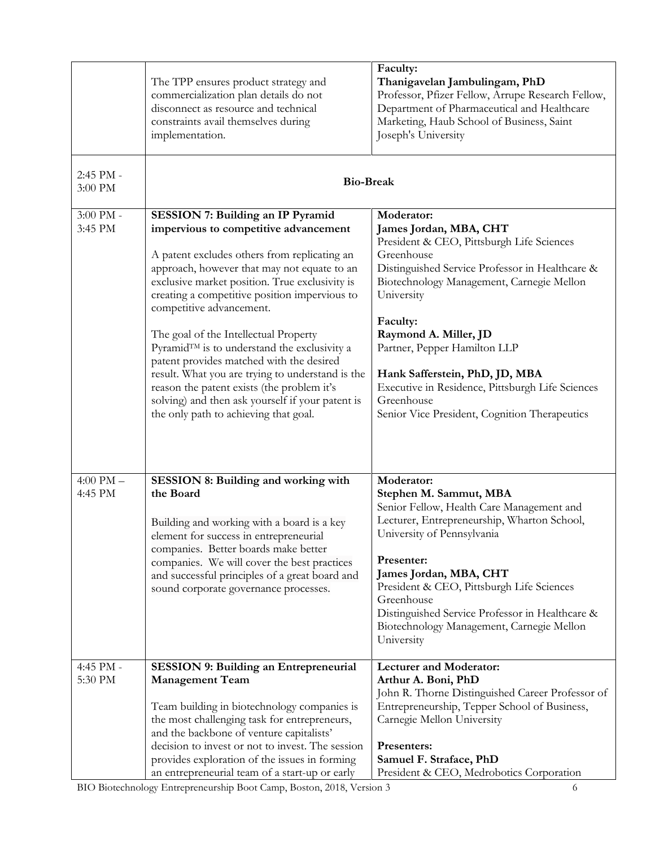|                          | The TPP ensures product strategy and<br>commercialization plan details do not<br>disconnect as resource and technical<br>constraints avail themselves during<br>implementation.                                                                                                                                                                                                                                                                                                                                                                                                                                                                    | Faculty:<br>Thanigavelan Jambulingam, PhD<br>Professor, Pfizer Fellow, Arrupe Research Fellow,<br>Department of Pharmaceutical and Healthcare<br>Marketing, Haub School of Business, Saint<br>Joseph's University                                                                                                                                                                                                                       |
|--------------------------|----------------------------------------------------------------------------------------------------------------------------------------------------------------------------------------------------------------------------------------------------------------------------------------------------------------------------------------------------------------------------------------------------------------------------------------------------------------------------------------------------------------------------------------------------------------------------------------------------------------------------------------------------|-----------------------------------------------------------------------------------------------------------------------------------------------------------------------------------------------------------------------------------------------------------------------------------------------------------------------------------------------------------------------------------------------------------------------------------------|
| 2:45 PM -<br>3:00 PM     | <b>Bio-Break</b>                                                                                                                                                                                                                                                                                                                                                                                                                                                                                                                                                                                                                                   |                                                                                                                                                                                                                                                                                                                                                                                                                                         |
| 3:00 PM -<br>3:45 PM     | <b>SESSION 7: Building an IP Pyramid</b><br>impervious to competitive advancement<br>A patent excludes others from replicating an<br>approach, however that may not equate to an<br>exclusive market position. True exclusivity is<br>creating a competitive position impervious to<br>competitive advancement.<br>The goal of the Intellectual Property<br>Pyramid™ is to understand the exclusivity a<br>patent provides matched with the desired<br>result. What you are trying to understand is the<br>reason the patent exists (the problem it's<br>solving) and then ask yourself if your patent is<br>the only path to achieving that goal. | Moderator:<br>James Jordan, MBA, CHT<br>President & CEO, Pittsburgh Life Sciences<br>Greenhouse<br>Distinguished Service Professor in Healthcare &<br>Biotechnology Management, Carnegie Mellon<br>University<br>Faculty:<br>Raymond A. Miller, JD<br>Partner, Pepper Hamilton LLP<br>Hank Safferstein, PhD, JD, MBA<br>Executive in Residence, Pittsburgh Life Sciences<br>Greenhouse<br>Senior Vice President, Cognition Therapeutics |
| $4:00$ PM $-$<br>4:45 PM | SESSION 8: Building and working with<br>the Board<br>Building and working with a board is a key<br>element for success in entrepreneurial<br>companies. Better boards make better<br>companies. We will cover the best practices<br>and successful principles of a great board and<br>sound corporate governance processes.                                                                                                                                                                                                                                                                                                                        | Moderator:<br>Stephen M. Sammut, MBA<br>Senior Fellow, Health Care Management and<br>Lecturer, Entrepreneurship, Wharton School,<br>University of Pennsylvania<br>Presenter:<br>James Jordan, MBA, CHT<br>President & CEO, Pittsburgh Life Sciences<br>Greenhouse<br>Distinguished Service Professor in Healthcare &<br>Biotechnology Management, Carnegie Mellon<br>University                                                         |
| 4:45 PM -<br>5:30 PM     | <b>SESSION 9: Building an Entrepreneurial</b><br><b>Management Team</b><br>Team building in biotechnology companies is<br>the most challenging task for entrepreneurs,<br>and the backbone of venture capitalists'<br>decision to invest or not to invest. The session<br>provides exploration of the issues in forming<br>an entrepreneurial team of a start-up or early                                                                                                                                                                                                                                                                          | <b>Lecturer and Moderator:</b><br>Arthur A. Boni, PhD<br>John R. Thorne Distinguished Career Professor of<br>Entrepreneurship, Tepper School of Business,<br>Carnegie Mellon University<br>Presenters:<br>Samuel F. Straface, PhD<br>President & CEO, Medrobotics Corporation                                                                                                                                                           |

BIO Biotechnology Entrepreneurship Boot Camp, Boston, 2018, Version 3 6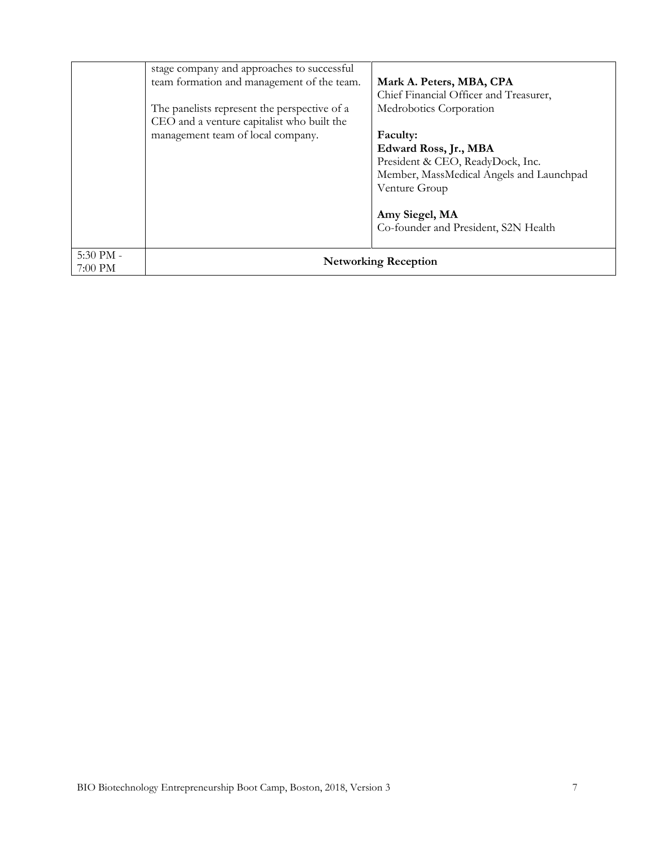|                      | stage company and approaches to successful<br>team formation and management of the team.<br>The panelists represent the perspective of a<br>CEO and a venture capitalist who built the<br>management team of local company. | Mark A. Peters, MBA, CPA<br>Chief Financial Officer and Treasurer,<br>Medrobotics Corporation<br>Faculty:                                                                        |
|----------------------|-----------------------------------------------------------------------------------------------------------------------------------------------------------------------------------------------------------------------------|----------------------------------------------------------------------------------------------------------------------------------------------------------------------------------|
|                      |                                                                                                                                                                                                                             | Edward Ross, Jr., MBA<br>President & CEO, ReadyDock, Inc.<br>Member, MassMedical Angels and Launchpad<br>Venture Group<br>Amy Siegel, MA<br>Co-founder and President, S2N Health |
| 5:30 PM -<br>7:00 PM |                                                                                                                                                                                                                             | <b>Networking Reception</b>                                                                                                                                                      |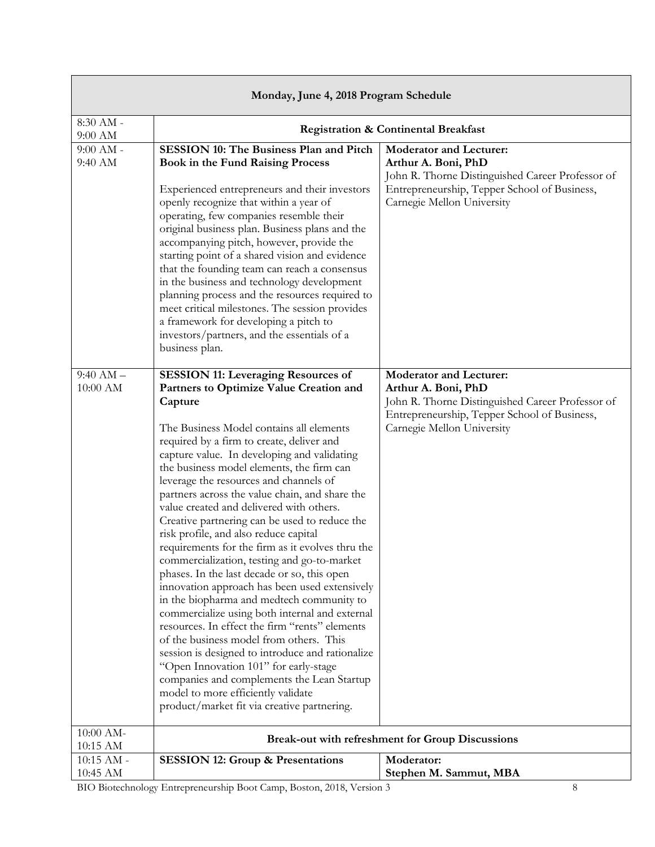| Monday, June 4, 2018 Program Schedule |                                                                                                                                                                                                                                                                                                                                                                                                                                                                                                                                                                                                                                                                                                                                                                                                                                                                                                                                                                                                                                                                                                                                                        |                                                                                                                                                                                         |
|---------------------------------------|--------------------------------------------------------------------------------------------------------------------------------------------------------------------------------------------------------------------------------------------------------------------------------------------------------------------------------------------------------------------------------------------------------------------------------------------------------------------------------------------------------------------------------------------------------------------------------------------------------------------------------------------------------------------------------------------------------------------------------------------------------------------------------------------------------------------------------------------------------------------------------------------------------------------------------------------------------------------------------------------------------------------------------------------------------------------------------------------------------------------------------------------------------|-----------------------------------------------------------------------------------------------------------------------------------------------------------------------------------------|
| 8:30 AM -<br>9:00 AM                  | <b>Registration &amp; Continental Breakfast</b>                                                                                                                                                                                                                                                                                                                                                                                                                                                                                                                                                                                                                                                                                                                                                                                                                                                                                                                                                                                                                                                                                                        |                                                                                                                                                                                         |
| $9:00$ AM -<br>9:40 AM                | <b>SESSION 10: The Business Plan and Pitch</b><br><b>Book in the Fund Raising Process</b><br>Experienced entrepreneurs and their investors<br>openly recognize that within a year of<br>operating, few companies resemble their<br>original business plan. Business plans and the<br>accompanying pitch, however, provide the<br>starting point of a shared vision and evidence<br>that the founding team can reach a consensus<br>in the business and technology development<br>planning process and the resources required to<br>meet critical milestones. The session provides<br>a framework for developing a pitch to<br>investors/partners, and the essentials of a<br>business plan.                                                                                                                                                                                                                                                                                                                                                                                                                                                            | <b>Moderator and Lecturer:</b><br>Arthur A. Boni, PhD<br>John R. Thorne Distinguished Career Professor of<br>Entrepreneurship, Tepper School of Business,<br>Carnegie Mellon University |
| $9:40$ AM $-$<br>$10:00$ AM           | <b>SESSION 11: Leveraging Resources of</b><br>Partners to Optimize Value Creation and<br>Capture<br>The Business Model contains all elements<br>required by a firm to create, deliver and<br>capture value. In developing and validating<br>the business model elements, the firm can<br>leverage the resources and channels of<br>partners across the value chain, and share the<br>value created and delivered with others.<br>Creative partnering can be used to reduce the<br>risk profile, and also reduce capital<br>requirements for the firm as it evolves thru the<br>commercialization, testing and go-to-market<br>phases. In the last decade or so, this open<br>innovation approach has been used extensively<br>in the biopharma and medtech community to<br>commercialize using both internal and external<br>resources. In effect the firm "rents" elements<br>of the business model from others. This<br>session is designed to introduce and rationalize<br>"Open Innovation 101" for early-stage<br>companies and complements the Lean Startup<br>model to more efficiently validate<br>product/market fit via creative partnering. | <b>Moderator and Lecturer:</b><br>Arthur A. Boni, PhD<br>John R. Thorne Distinguished Career Professor of<br>Entrepreneurship, Tepper School of Business,<br>Carnegie Mellon University |
| 10:00 AM-<br>10:15 AM                 |                                                                                                                                                                                                                                                                                                                                                                                                                                                                                                                                                                                                                                                                                                                                                                                                                                                                                                                                                                                                                                                                                                                                                        | <b>Break-out with refreshment for Group Discussions</b>                                                                                                                                 |
| $10:15$ AM -<br>10:45 AM              | <b>SESSION 12: Group &amp; Presentations</b><br>BIO Biotechnology Entrepreneurship Boot Camp, Boston, 2018, Version 3                                                                                                                                                                                                                                                                                                                                                                                                                                                                                                                                                                                                                                                                                                                                                                                                                                                                                                                                                                                                                                  | Moderator:<br>Stephen M. Sammut, MBA<br>8                                                                                                                                               |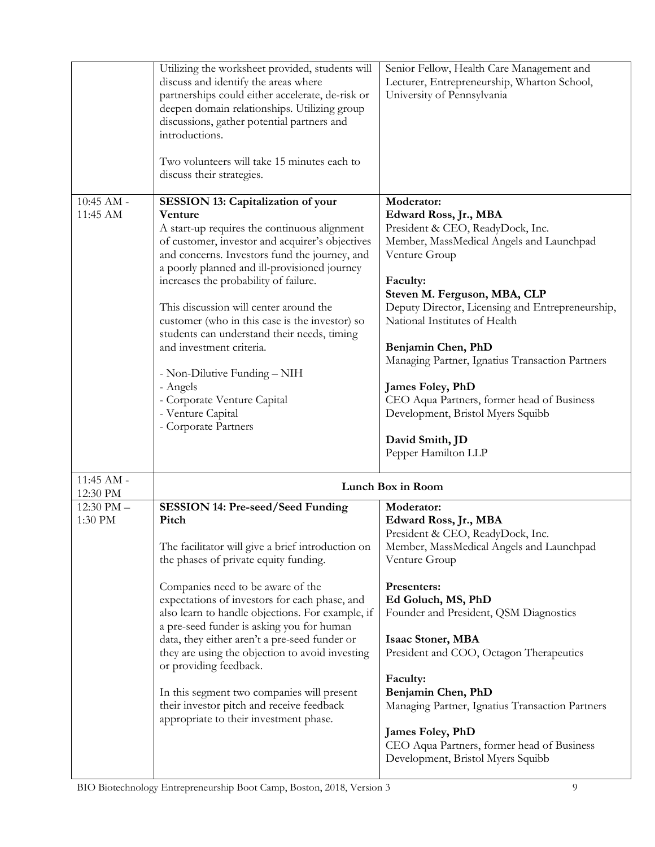|                           | Utilizing the worksheet provided, students will<br>discuss and identify the areas where<br>partnerships could either accelerate, de-risk or<br>deepen domain relationships. Utilizing group<br>discussions, gather potential partners and<br>introductions.<br>Two volunteers will take 15 minutes each to<br>discuss their strategies.                                                                                                                                                                                                                                                                   | Senior Fellow, Health Care Management and<br>Lecturer, Entrepreneurship, Wharton School,<br>University of Pennsylvania                                                                                                                                                                                                                                                                                                                                                                          |
|---------------------------|-----------------------------------------------------------------------------------------------------------------------------------------------------------------------------------------------------------------------------------------------------------------------------------------------------------------------------------------------------------------------------------------------------------------------------------------------------------------------------------------------------------------------------------------------------------------------------------------------------------|-------------------------------------------------------------------------------------------------------------------------------------------------------------------------------------------------------------------------------------------------------------------------------------------------------------------------------------------------------------------------------------------------------------------------------------------------------------------------------------------------|
| $10:45$ AM -<br>11:45 AM  | <b>SESSION 13: Capitalization of your</b><br>Venture<br>A start-up requires the continuous alignment<br>of customer, investor and acquirer's objectives<br>and concerns. Investors fund the journey, and<br>a poorly planned and ill-provisioned journey<br>increases the probability of failure.<br>This discussion will center around the<br>customer (who in this case is the investor) so<br>students can understand their needs, timing<br>and investment criteria.<br>- Non-Dilutive Funding - NIH<br>- Angels<br>- Corporate Venture Capital<br>- Venture Capital<br>- Corporate Partners          | Moderator:<br>Edward Ross, Jr., MBA<br>President & CEO, ReadyDock, Inc.<br>Member, MassMedical Angels and Launchpad<br>Venture Group<br>Faculty:<br>Steven M. Ferguson, MBA, CLP<br>Deputy Director, Licensing and Entrepreneurship,<br>National Institutes of Health<br>Benjamin Chen, PhD<br>Managing Partner, Ignatius Transaction Partners<br>James Foley, PhD<br>CEO Aqua Partners, former head of Business<br>Development, Bristol Myers Squibb<br>David Smith, JD<br>Pepper Hamilton LLP |
| 11:45 AM -<br>12:30 PM    |                                                                                                                                                                                                                                                                                                                                                                                                                                                                                                                                                                                                           | Lunch Box in Room                                                                                                                                                                                                                                                                                                                                                                                                                                                                               |
| $12:30$ PM $-$<br>1:30 PM | <b>SESSION 14: Pre-seed/Seed Funding</b><br>Pitch<br>The facilitator will give a brief introduction on<br>the phases of private equity funding.<br>Companies need to be aware of the<br>expectations of investors for each phase, and<br>also learn to handle objections. For example, if<br>a pre-seed funder is asking you for human<br>data, they either aren't a pre-seed funder or<br>they are using the objection to avoid investing<br>or providing feedback.<br>In this segment two companies will present<br>their investor pitch and receive feedback<br>appropriate to their investment phase. | Moderator:<br>Edward Ross, Jr., MBA<br>President & CEO, ReadyDock, Inc.<br>Member, MassMedical Angels and Launchpad<br>Venture Group<br>Presenters:<br>Ed Goluch, MS, PhD<br>Founder and President, QSM Diagnostics<br><b>Isaac Stoner, MBA</b><br>President and COO, Octagon Therapeutics<br>Faculty:<br>Benjamin Chen, PhD<br>Managing Partner, Ignatius Transaction Partners<br>James Foley, PhD<br>CEO Aqua Partners, former head of Business<br>Development, Bristol Myers Squibb          |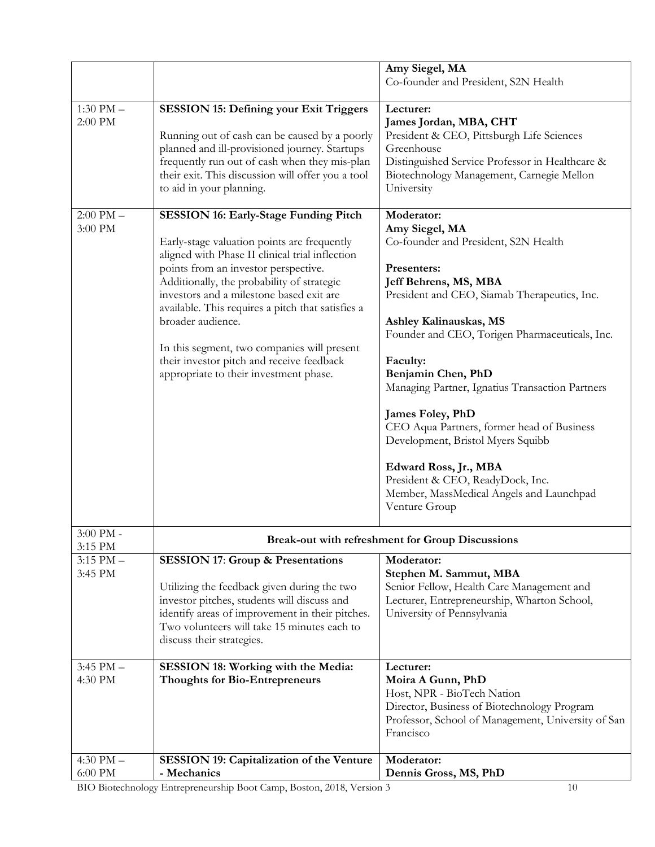|                          |                                                                                                                                                                                                                                                                                                                                                                                                                                                                                                  | Amy Siegel, MA<br>Co-founder and President, S2N Health                                                                                                                                                                                                                                                                                                                                                                                                                                                                                                         |
|--------------------------|--------------------------------------------------------------------------------------------------------------------------------------------------------------------------------------------------------------------------------------------------------------------------------------------------------------------------------------------------------------------------------------------------------------------------------------------------------------------------------------------------|----------------------------------------------------------------------------------------------------------------------------------------------------------------------------------------------------------------------------------------------------------------------------------------------------------------------------------------------------------------------------------------------------------------------------------------------------------------------------------------------------------------------------------------------------------------|
|                          |                                                                                                                                                                                                                                                                                                                                                                                                                                                                                                  |                                                                                                                                                                                                                                                                                                                                                                                                                                                                                                                                                                |
| $1:30$ PM $-$<br>2:00 PM | <b>SESSION 15: Defining your Exit Triggers</b><br>Running out of cash can be caused by a poorly<br>planned and ill-provisioned journey. Startups<br>frequently run out of cash when they mis-plan<br>their exit. This discussion will offer you a tool<br>to aid in your planning.                                                                                                                                                                                                               | Lecturer:<br>James Jordan, MBA, CHT<br>President & CEO, Pittsburgh Life Sciences<br>Greenhouse<br>Distinguished Service Professor in Healthcare &<br>Biotechnology Management, Carnegie Mellon<br>University                                                                                                                                                                                                                                                                                                                                                   |
| $2:00$ PM $-$<br>3:00 PM | <b>SESSION 16: Early-Stage Funding Pitch</b><br>Early-stage valuation points are frequently<br>aligned with Phase II clinical trial inflection<br>points from an investor perspective.<br>Additionally, the probability of strategic<br>investors and a milestone based exit are<br>available. This requires a pitch that satisfies a<br>broader audience.<br>In this segment, two companies will present<br>their investor pitch and receive feedback<br>appropriate to their investment phase. | Moderator:<br>Amy Siegel, MA<br>Co-founder and President, S2N Health<br>Presenters:<br>Jeff Behrens, MS, MBA<br>President and CEO, Siamab Therapeutics, Inc.<br>Ashley Kalinauskas, MS<br>Founder and CEO, Torigen Pharmaceuticals, Inc.<br>Faculty:<br>Benjamin Chen, PhD<br>Managing Partner, Ignatius Transaction Partners<br>James Foley, PhD<br>CEO Aqua Partners, former head of Business<br>Development, Bristol Myers Squibb<br>Edward Ross, Jr., MBA<br>President & CEO, ReadyDock, Inc.<br>Member, MassMedical Angels and Launchpad<br>Venture Group |
| 3:00 PM -<br>3:15 PM     | <b>Break-out with refreshment for Group Discussions</b>                                                                                                                                                                                                                                                                                                                                                                                                                                          |                                                                                                                                                                                                                                                                                                                                                                                                                                                                                                                                                                |
| $3:15$ PM $-$<br>3:45 PM | <b>SESSION 17: Group &amp; Presentations</b><br>Utilizing the feedback given during the two<br>investor pitches, students will discuss and<br>identify areas of improvement in their pitches.<br>Two volunteers will take 15 minutes each to<br>discuss their strategies.                                                                                                                                                                                                                        | Moderator:<br>Stephen M. Sammut, MBA<br>Senior Fellow, Health Care Management and<br>Lecturer, Entrepreneurship, Wharton School,<br>University of Pennsylvania                                                                                                                                                                                                                                                                                                                                                                                                 |
| $3:45$ PM $-$<br>4:30 PM | SESSION 18: Working with the Media:<br><b>Thoughts for Bio-Entrepreneurs</b>                                                                                                                                                                                                                                                                                                                                                                                                                     | Lecturer:<br>Moira A Gunn, PhD<br>Host, NPR - BioTech Nation<br>Director, Business of Biotechnology Program<br>Professor, School of Management, University of San<br>Francisco                                                                                                                                                                                                                                                                                                                                                                                 |
| 4:30 PM $-$<br>6:00 PM   | <b>SESSION 19: Capitalization of the Venture</b><br>- Mechanics                                                                                                                                                                                                                                                                                                                                                                                                                                  | Moderator:<br>Dennis Gross, MS, PhD                                                                                                                                                                                                                                                                                                                                                                                                                                                                                                                            |

BIO Biotechnology Entrepreneurship Boot Camp, Boston, 2018, Version 3 10